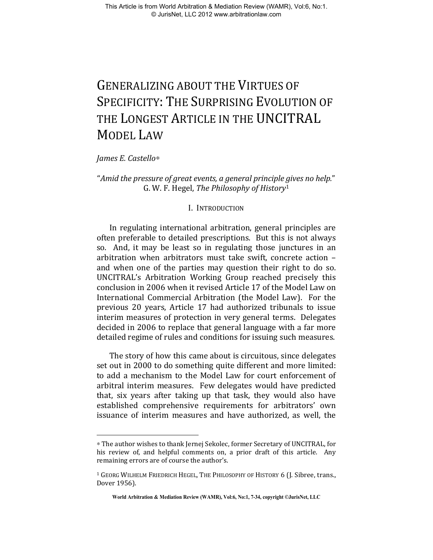# GENERALIZING ABOUT THE VIRTUES OF SPECIFICITY: THE SURPRISING EVOLUTION OF THE LONGEST ARTICLE IN THE UNCITRAL MODEL LAW

*James E. Castello*∗

1

## "*Amid the pressure of great events, a general principle gives no help.*" G. W. F. Hegel, *The Philosophy of History*<sup>1</sup>

### I. INTRODUCTION

In regulating international arbitration, general principles are often preferable to detailed prescriptions. But this is not always so. And, it may be least so in regulating those junctures in an arbitration when arbitrators must take swift, concrete action – and when one of the parties may question their right to do so. UNCITRAL's Arbitration Working Group reached precisely this conclusion in 2006 when it revised Article 17 of the Model Law on International Commercial Arbitration (the Model Law). For the previous 20 years, Article 17 had authorized tribunals to issue interim measures of protection in very general terms. Delegates decided in 2006 to replace that general language with a far more detailed regime of rules and conditions for issuing such measures.

The story of how this came about is circuitous, since delegates set out in 2000 to do something quite different and more limited: to add a mechanism to the Model Law for court enforcement of arbitral interim measures. Few delegates would have predicted that, six years after taking up that task, they would also have established comprehensive requirements for arbitrators' own issuance of interim measures and have authorized, as well, the

<sup>∗</sup> The author wishes to thank Jernej Sekolec, former Secretary of UNCITRAL, for his review of, and helpful comments on, a prior draft of this article. Any remaining errors are of course the author's.

<sup>1</sup> GEORG WILHELM FRIEDRICH HEGEL, THE PHILOSOPHY OF HISTORY 6 (J. Sibree, trans., Dover 1956).

**World Arbitration & Mediation Review (WAMR), Vol:6, No:1, 7-34, copyright ©JurisNet, LLC**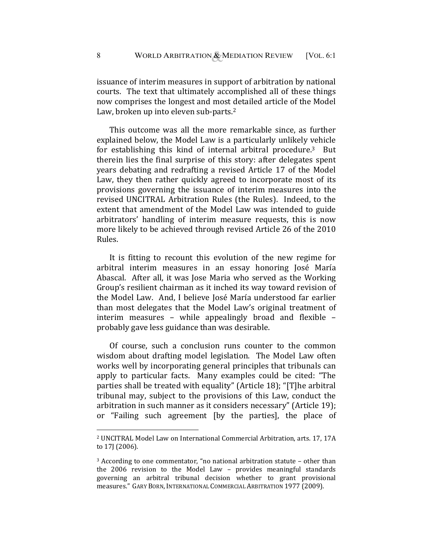issuance of interim measures in support of arbitration by national courts. The text that ultimately accomplished all of these things now comprises the longest and most detailed article of the Model Law, broken up into eleven sub-parts.<sup>2</sup>

This outcome was all the more remarkable since, as further explained below, the Model Law is a particularly unlikely vehicle for establishing this kind of internal arbitral procedure.3 But therein lies the final surprise of this story: after delegates spent years debating and redrafting a revised Article 17 of the Model Law, they then rather quickly agreed to incorporate most of its provisions governing the issuance of interim measures into the revised UNCITRAL Arbitration Rules (the Rules). Indeed, to the extent that amendment of the Model Law was intended to guide arbitrators' handling of interim measure requests, this is now more likely to be achieved through revised Article 26 of the 2010 Rules.

It is fitting to recount this evolution of the new regime for arbitral interim measures in an essay honoring José María Abascal. After all, it was Jose Maria who served as the Working Group's resilient chairman as it inched its way toward revision of the Model Law. And, I believe José María understood far earlier than most delegates that the Model Law's original treatment of interim measures – while appealingly broad and flexible – probably gave less guidance than was desirable.

Of course, such a conclusion runs counter to the common wisdom about drafting model legislation. The Model Law often works well by incorporating general principles that tribunals can apply to particular facts. Many examples could be cited: "The parties shall be treated with equality" (Article 18); "[T]he arbitral tribunal may, subject to the provisions of this Law, conduct the arbitration in such manner as it considers necessary" (Article 19); or "Failing such agreement [by the parties], the place of

<sup>2</sup> UNCITRAL Model Law on International Commercial Arbitration, arts. 17, 17A to 17J (2006).

<sup>3</sup> According to one commentator, "no national arbitration statute – other than the 2006 revision to the Model Law – provides meaningful standards governing an arbitral tribunal decision whether to grant provisional measures." GARY BORN, INTERNATIONAL COMMERCIAL ARBITRATION 1977 (2009).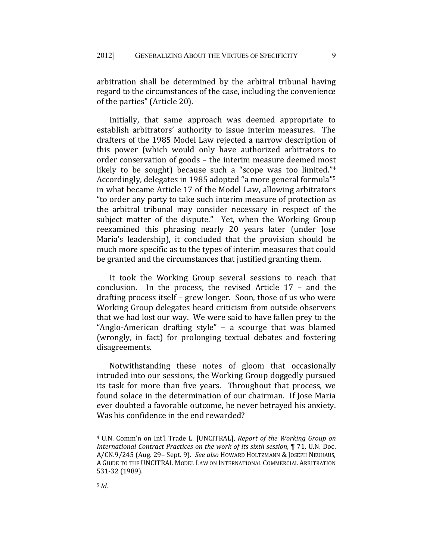arbitration shall be determined by the arbitral tribunal having regard to the circumstances of the case, including the convenience of the parties" (Article 20).

Initially, that same approach was deemed appropriate to establish arbitrators' authority to issue interim measures. The drafters of the 1985 Model Law rejected a narrow description of this power (which would only have authorized arbitrators to order conservation of goods – the interim measure deemed most likely to be sought) because such a "scope was too limited."<sup>4</sup> Accordingly, delegates in 1985 adopted "a more general formula"5 in what became Article 17 of the Model Law, allowing arbitrators "to order any party to take such interim measure of protection as the arbitral tribunal may consider necessary in respect of the subject matter of the dispute." Yet, when the Working Group reexamined this phrasing nearly 20 years later (under Jose Maria's leadership), it concluded that the provision should be much more specific as to the types of interim measures that could be granted and the circumstances that justified granting them.

It took the Working Group several sessions to reach that conclusion. In the process, the revised Article 17 – and the drafting process itself – grew longer. Soon, those of us who were Working Group delegates heard criticism from outside observers that we had lost our way. We were said to have fallen prey to the "Anglo-American drafting style" – a scourge that was blamed (wrongly, in fact) for prolonging textual debates and fostering disagreements.

Notwithstanding these notes of gloom that occasionally intruded into our sessions, the Working Group doggedly pursued its task for more than five years. Throughout that process, we found solace in the determination of our chairman. If Jose Maria ever doubted a favorable outcome, he never betrayed his anxiety. Was his confidence in the end rewarded?

<sup>4</sup> U.N. Comm'n on Int'l Trade L. [UNCITRAL], *Report of the Working Group on International Contract Practices on the work of its sixth session*, ¶ 71, U.N. Doc. A/CN.9/245 (Aug. 29– Sept. 9). *See also* HOWARD HOLTZMANN & JOSEPH NEUHAUS, A GUIDE TO THE UNCITRAL MODEL LAW ON INTERNATIONAL COMMERCIAL ARBITRATION 531-32 (1989).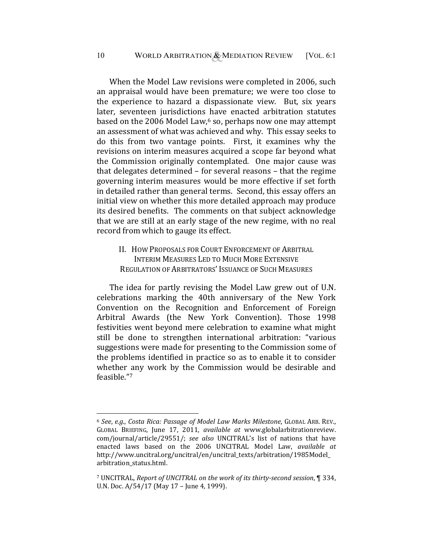When the Model Law revisions were completed in 2006, such an appraisal would have been premature; we were too close to the experience to hazard a dispassionate view. But, six years later, seventeen jurisdictions have enacted arbitration statutes based on the 2006 Model Law, $6$  so, perhaps now one may attempt an assessment of what was achieved and why. This essay seeks to do this from two vantage points. First, it examines why the revisions on interim measures acquired a scope far beyond what the Commission originally contemplated. One major cause was that delegates determined – for several reasons – that the regime governing interim measures would be more effective if set forth in detailed rather than general terms. Second, this essay offers an initial view on whether this more detailed approach may produce its desired benefits. The comments on that subject acknowledge that we are still at an early stage of the new regime, with no real record from which to gauge its effect.

II. HOW PROPOSALS FOR COURT ENFORCEMENT OF ARBITRAL INTERIM MEASURES LED TO MUCH MORE EXTENSIVE REGULATION OF ARBITRATORS' ISSUANCE OF SUCH MEASURES

The idea for partly revising the Model Law grew out of U.N. celebrations marking the 40th anniversary of the New York Convention on the Recognition and Enforcement of Foreign Arbitral Awards (the New York Convention). Those 1998 festivities went beyond mere celebration to examine what might still be done to strengthen international arbitration: "various suggestions were made for presenting to the Commission some of the problems identified in practice so as to enable it to consider whether any work by the Commission would be desirable and feasible."7

<sup>6</sup> *See*, *e.g.*, *Costa Rica: Passage of Model Law Marks Milestone*, GLOBAL ARB. REV., GLOBAL BRIEFING, June 17, 2011, *available at* www.globalarbitrationreview. com/journal/article/29551/; *see also* UNCITRAL's list of nations that have enacted laws based on the 2006 UNCITRAL Model Law, *available at*  http://www.uncitral.org/uncitral/en/uncitral\_texts/arbitration/1985Model\_ arbitration\_status.html.

<sup>7</sup> UNCITRAL, *Report of UNCITRAL on the work of its thirty-second session*, ¶ 334, U.N. Doc. A/54/17 (May 17 – June 4, 1999).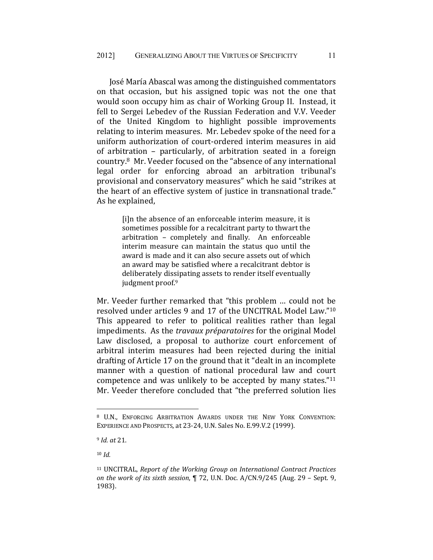José María Abascal was among the distinguished commentators on that occasion, but his assigned topic was not the one that would soon occupy him as chair of Working Group II. Instead, it fell to Sergei Lebedev of the Russian Federation and V.V. Veeder of the United Kingdom to highlight possible improvements relating to interim measures. Mr. Lebedev spoke of the need for a uniform authorization of court-ordered interim measures in aid of arbitration – particularly, of arbitration seated in a foreign country.8 Mr. Veeder focused on the "absence of any international legal order for enforcing abroad an arbitration tribunal's provisional and conservatory measures" which he said "strikes at the heart of an effective system of justice in transnational trade." As he explained,

> [i]n the absence of an enforceable interim measure, it is sometimes possible for a recalcitrant party to thwart the arbitration – completely and finally. An enforceable interim measure can maintain the status quo until the award is made and it can also secure assets out of which an award may be satisfied where a recalcitrant debtor is deliberately dissipating assets to render itself eventually judgment proof.<sup>9</sup>

Mr. Veeder further remarked that "this problem … could not be resolved under articles 9 and 17 of the UNCITRAL Model Law."10 This appeared to refer to political realities rather than legal impediments. As the *travaux préparatoires* for the original Model Law disclosed, a proposal to authorize court enforcement of arbitral interim measures had been rejected during the initial drafting of Article 17 on the ground that it "dealt in an incomplete manner with a question of national procedural law and court competence and was unlikely to be accepted by many states."11 Mr. Veeder therefore concluded that "the preferred solution lies

<sup>10</sup> *Id.* 

<u>.</u>

<sup>8</sup> U.N., ENFORCING ARBITRATION AWARDS UNDER THE NEW YORK CONVENTION: EXPERIENCE AND PROSPECTS, at 23-24, U.N. Sales No. E.99.V.2 (1999).

<sup>9</sup> *Id. at* 21.

<sup>11</sup> UNCITRAL, *Report of the Working Group on International Contract Practices on the work of its sixth session*, ¶ 72, U.N. Doc. A/CN.9/245 (Aug. 29 – Sept. 9, 1983).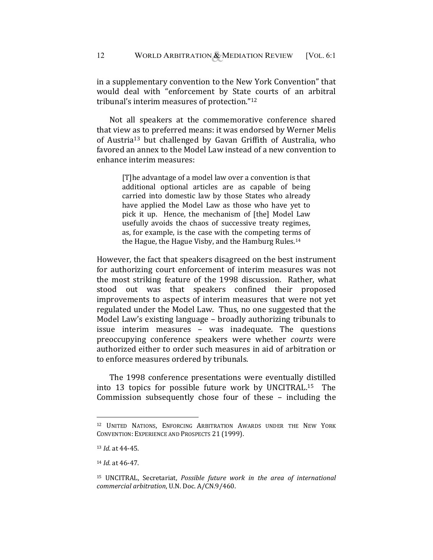in a supplementary convention to the New York Convention" that would deal with "enforcement by State courts of an arbitral tribunal's interim measures of protection."12

Not all speakers at the commemorative conference shared that view as to preferred means: it was endorsed by Werner Melis of Austria13 but challenged by Gavan Griffith of Australia, who favored an annex to the Model Law instead of a new convention to enhance interim measures:

> [T]he advantage of a model law over a convention is that additional optional articles are as capable of being carried into domestic law by those States who already have applied the Model Law as those who have yet to pick it up. Hence, the mechanism of [the] Model Law usefully avoids the chaos of successive treaty regimes, as, for example, is the case with the competing terms of the Hague, the Hague Visby, and the Hamburg Rules.14

However, the fact that speakers disagreed on the best instrument for authorizing court enforcement of interim measures was not the most striking feature of the 1998 discussion. Rather, what stood out was that speakers confined their proposed improvements to aspects of interim measures that were not yet regulated under the Model Law. Thus, no one suggested that the Model Law's existing language – broadly authorizing tribunals to issue interim measures – was inadequate. The questions preoccupying conference speakers were whether *courts* were authorized either to order such measures in aid of arbitration or to enforce measures ordered by tribunals.

The 1998 conference presentations were eventually distilled into 13 topics for possible future work by UNCITRAL.15 The Commission subsequently chose four of these – including the

<sup>12</sup> UNITED NATIONS, ENFORCING ARBITRATION AWARDS UNDER THE NEW YORK CONVENTION: EXPERIENCE AND PROSPECTS 21 (1999).

<sup>13</sup> *Id*. at 44-45.

<sup>14</sup> *Id*. at 46-47.

<sup>15</sup> UNCITRAL, Secretariat, *Possible future work in the area of international commercial arbitration*, U.N. Doc. A/CN.9/460.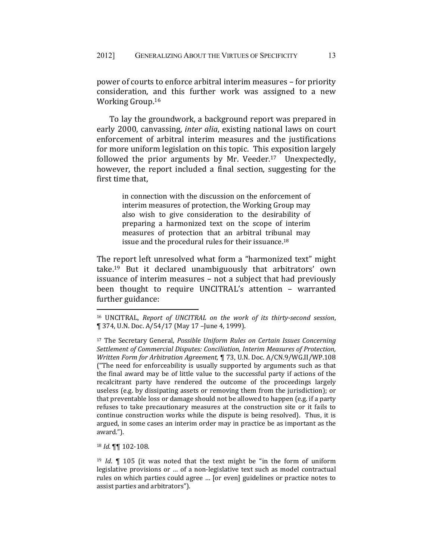power of courts to enforce arbitral interim measures – for priority consideration, and this further work was assigned to a new Working Group.16

To lay the groundwork, a background report was prepared in early 2000, canvassing, *inter alia*, existing national laws on court enforcement of arbitral interim measures and the justifications for more uniform legislation on this topic. This exposition largely followed the prior arguments by Mr. Veeder.17 Unexpectedly, however, the report included a final section, suggesting for the first time that,

> in connection with the discussion on the enforcement of interim measures of protection, the Working Group may also wish to give consideration to the desirability of preparing a harmonized text on the scope of interim measures of protection that an arbitral tribunal may issue and the procedural rules for their issuance.18

The report left unresolved what form a "harmonized text" might take.19 But it declared unambiguously that arbitrators' own issuance of interim measures – not a subject that had previously been thought to require UNCITRAL's attention – warranted further guidance:

<sup>18</sup> *Id*. ¶¶ 102-108.

<sup>16</sup> UNCITRAL, *Report of UNCITRAL on the work of its thirty-second session*, ¶ 374, U.N. Doc. A/54/17 (May 17 –June 4, 1999).

<sup>17</sup> The Secretary General, *Possible Uniform Rules on Certain Issues Concerning Settlement of Commercial Disputes: Conciliation, Interim Measures of Protection, Written Form for Arbitration Agreement,* ¶ 73, U.N. Doc. A/CN.9/WG.II/WP.108 ("The need for enforceability is usually supported by arguments such as that the final award may be of little value to the successful party if actions of the recalcitrant party have rendered the outcome of the proceedings largely useless (e.g. by dissipating assets or removing them from the jurisdiction); or that preventable loss or damage should not be allowed to happen (e.g. if a party refuses to take precautionary measures at the construction site or it fails to continue construction works while the dispute is being resolved). Thus, it is argued, in some cases an interim order may in practice be as important as the award.").

<sup>19</sup> *Id*. ¶ 105 (it was noted that the text might be "in the form of uniform legislative provisions or … of a non-legislative text such as model contractual rules on which parties could agree … [or even] guidelines or practice notes to assist parties and arbitrators").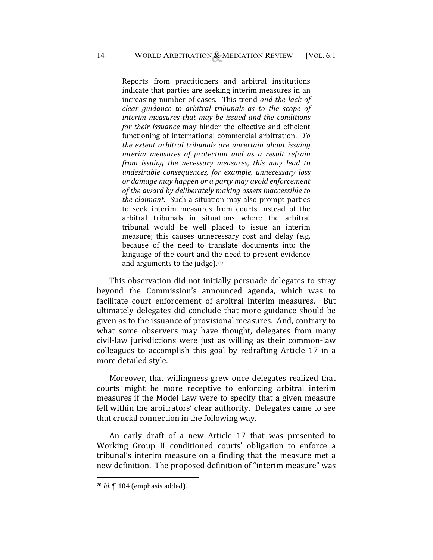Reports from practitioners and arbitral institutions indicate that parties are seeking interim measures in an increasing number of cases. This trend *and the lack of clear guidance to arbitral tribunals as to the scope of interim measures that may be issued and the conditions for their issuance* may hinder the effective and efficient functioning of international commercial arbitration. *To the extent arbitral tribunals are uncertain about issuing interim measures of protection and as a result refrain from issuing the necessary measures, this may lead to undesirable consequences, for example, unnecessary loss or damage may happen or a party may avoid enforcement of the award by deliberately making assets inaccessible to the claimant.* Such a situation may also prompt parties to seek interim measures from courts instead of the arbitral tribunals in situations where the arbitral tribunal would be well placed to issue an interim measure; this causes unnecessary cost and delay (e.g. because of the need to translate documents into the language of the court and the need to present evidence and arguments to the judge).20

This observation did not initially persuade delegates to stray beyond the Commission's announced agenda, which was to facilitate court enforcement of arbitral interim measures. But ultimately delegates did conclude that more guidance should be given as to the issuance of provisional measures. And, contrary to what some observers may have thought, delegates from many civil-law jurisdictions were just as willing as their common-law colleagues to accomplish this goal by redrafting Article 17 in a more detailed style.

Moreover, that willingness grew once delegates realized that courts might be more receptive to enforcing arbitral interim measures if the Model Law were to specify that a given measure fell within the arbitrators' clear authority. Delegates came to see that crucial connection in the following way.

An early draft of a new Article 17 that was presented to Working Group II conditioned courts' obligation to enforce a tribunal's interim measure on a finding that the measure met a new definition. The proposed definition of "interim measure" was

<sup>20</sup> *Id*. ¶ 104 (emphasis added).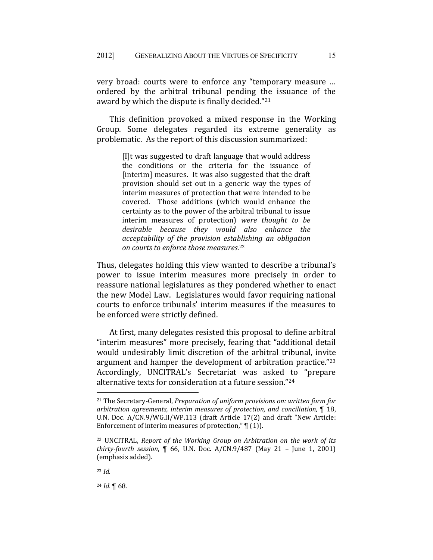very broad: courts were to enforce any "temporary measure … ordered by the arbitral tribunal pending the issuance of the award by which the dispute is finally decided."21

This definition provoked a mixed response in the Working Group. Some delegates regarded its extreme generality as problematic. As the report of this discussion summarized:

> [I]t was suggested to draft language that would address the conditions or the criteria for the issuance of [interim] measures. It was also suggested that the draft provision should set out in a generic way the types of interim measures of protection that were intended to be covered. Those additions (which would enhance the certainty as to the power of the arbitral tribunal to issue interim measures of protection) *were thought to be desirable because they would also enhance the acceptability of the provision establishing an obligation on courts to enforce those measures*. 22

Thus, delegates holding this view wanted to describe a tribunal's power to issue interim measures more precisely in order to reassure national legislatures as they pondered whether to enact the new Model Law. Legislatures would favor requiring national courts to enforce tribunals' interim measures if the measures to be enforced were strictly defined.

At first, many delegates resisted this proposal to define arbitral "interim measures" more precisely, fearing that "additional detail would undesirably limit discretion of the arbitral tribunal, invite argument and hamper the development of arbitration practice."23 Accordingly, UNCITRAL's Secretariat was asked to "prepare alternative texts for consideration at a future session."24

<sup>21</sup> The Secretary-General, *Preparation of uniform provisions on: written form for arbitration agreements, interim measures of protection, and conciliation,* ¶ 18, U.N. Doc. A/CN.9/WG.II/WP.113 (draft Article 17(2) and draft "New Article: Enforcement of interim measures of protection,"  $\P$  (1)).

<sup>22</sup> UNCITRAL, *Report of the Working Group on Arbitration on the work of its thirty-fourth session*, ¶ 66, U.N. Doc. A/CN.9/487 (May 21 – June 1, 2001) (emphasis added).

<sup>23</sup> *Id.*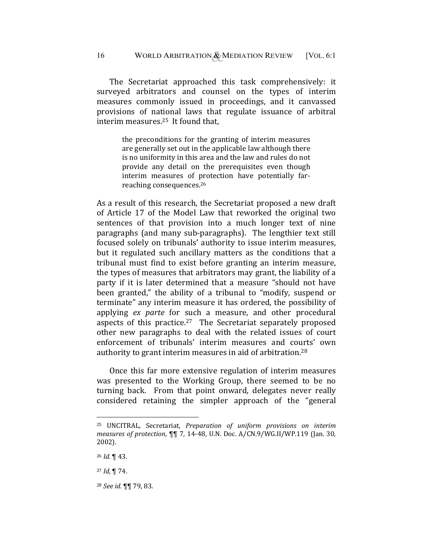The Secretariat approached this task comprehensively: it surveyed arbitrators and counsel on the types of interim measures commonly issued in proceedings, and it canvassed provisions of national laws that regulate issuance of arbitral interim measures.25 It found that,

> the preconditions for the granting of interim measures are generally set out in the applicable law although there is no uniformity in this area and the law and rules do not provide any detail on the prerequisites even though interim measures of protection have potentially farreaching consequences.26

As a result of this research, the Secretariat proposed a new draft of Article 17 of the Model Law that reworked the original two sentences of that provision into a much longer text of nine paragraphs (and many sub-paragraphs). The lengthier text still focused solely on tribunals' authority to issue interim measures, but it regulated such ancillary matters as the conditions that a tribunal must find to exist before granting an interim measure, the types of measures that arbitrators may grant, the liability of a party if it is later determined that a measure "should not have been granted," the ability of a tribunal to "modify, suspend or terminate" any interim measure it has ordered, the possibility of applying *ex parte* for such a measure, and other procedural aspects of this practice.<sup>27</sup> The Secretariat separately proposed other new paragraphs to deal with the related issues of court enforcement of tribunals' interim measures and courts' own authority to grant interim measures in aid of arbitration.28

Once this far more extensive regulation of interim measures was presented to the Working Group, there seemed to be no turning back. From that point onward, delegates never really considered retaining the simpler approach of the "general

<sup>25</sup> UNCITRAL, Secretariat, *Preparation of uniform provisions on interim measures of protection*, ¶¶ 7, 14-48, U.N. Doc. A/CN.9/WG.II/WP.119 (Jan. 30, 2002).

<sup>26</sup> *Id.* ¶ 43.

<sup>27</sup> *Id*, ¶ 74.

<sup>28</sup> *See id.* ¶¶ 79, 83.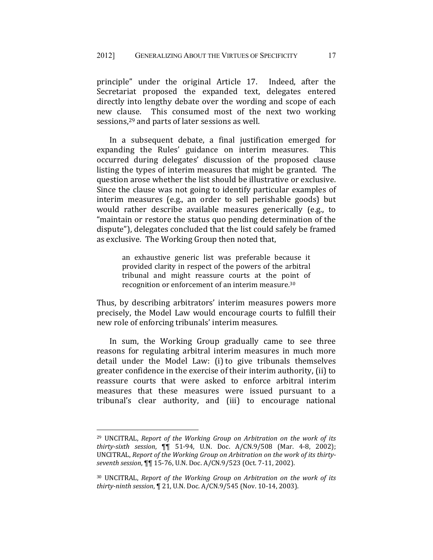principle" under the original Article 17. Indeed, after the Secretariat proposed the expanded text, delegates entered directly into lengthy debate over the wording and scope of each new clause. This consumed most of the next two working sessions,29 and parts of later sessions as well.

In a subsequent debate, a final justification emerged for expanding the Rules' guidance on interim measures. This occurred during delegates' discussion of the proposed clause listing the types of interim measures that might be granted. The question arose whether the list should be illustrative or exclusive. Since the clause was not going to identify particular examples of interim measures (e.g., an order to sell perishable goods) but would rather describe available measures generically (e.g., to "maintain or restore the status quo pending determination of the dispute"), delegates concluded that the list could safely be framed as exclusive. The Working Group then noted that,

> an exhaustive generic list was preferable because it provided clarity in respect of the powers of the arbitral tribunal and might reassure courts at the point of recognition or enforcement of an interim measure.30

Thus, by describing arbitrators' interim measures powers more precisely, the Model Law would encourage courts to fulfill their new role of enforcing tribunals' interim measures.

In sum, the Working Group gradually came to see three reasons for regulating arbitral interim measures in much more detail under the Model Law: (i) to give tribunals themselves greater confidence in the exercise of their interim authority, (ii) to reassure courts that were asked to enforce arbitral interim measures that these measures were issued pursuant to a tribunal's clear authority, and (iii) to encourage national

<sup>29</sup> UNCITRAL, *Report of the Working Group on Arbitration on the work of its thirty-sixth session*, ¶¶ 51-94, U.N. Doc. A/CN.9/508 (Mar. 4-8, 2002); UNCITRAL, *Report of the Working Group on Arbitration on the work of its thirtyseventh session*, ¶¶ 15-76, U.N. Doc. A/CN.9/523 (Oct. 7-11, 2002).

<sup>30</sup> UNCITRAL, *Report of the Working Group on Arbitration on the work of its thirty-ninth session*, ¶ 21, U.N. Doc. A/CN.9/545 (Nov. 10-14, 2003).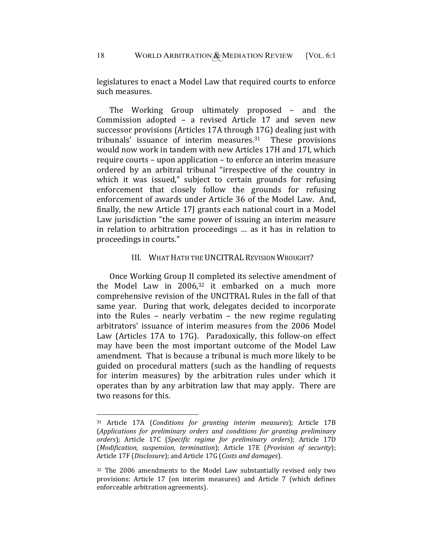legislatures to enact a Model Law that required courts to enforce such measures.

The Working Group ultimately proposed – and the Commission adopted – a revised Article 17 and seven new successor provisions (Articles 17A through 17G) dealing just with tribunals' issuance of interim measures.31 These provisions would now work in tandem with new Articles 17H and 17I, which require courts – upon application – to enforce an interim measure ordered by an arbitral tribunal "irrespective of the country in which it was issued," subject to certain grounds for refusing enforcement that closely follow the grounds for refusing enforcement of awards under Article 36 of the Model Law. And, finally, the new Article 17J grants each national court in a Model Law jurisdiction "the same power of issuing an interim measure in relation to arbitration proceedings … as it has in relation to proceedings in courts."

#### III. WHAT HATH THE UNCITRAL REVISION WROUGHT?

Once Working Group II completed its selective amendment of the Model Law in  $2006$ <sup>32</sup> it embarked on a much more comprehensive revision of the UNCITRAL Rules in the fall of that same year. During that work, delegates decided to incorporate into the Rules – nearly verbatim – the new regime regulating arbitrators' issuance of interim measures from the 2006 Model Law (Articles 17A to 17G). Paradoxically, this follow-on effect may have been the most important outcome of the Model Law amendment. That is because a tribunal is much more likely to be guided on procedural matters (such as the handling of requests for interim measures) by the arbitration rules under which it operates than by any arbitration law that may apply. There are two reasons for this.

<u>.</u>

<sup>31</sup> Article 17A (*Conditions for granting interim measures*); Article 17B (*Applications for preliminary orders and conditions for granting preliminary orders*); Article 17C (*Specific regime for preliminary orders*); Article 17D (*Modification, suspension, termination*); Article 17E (*Provision of security*); Article 17F (*Disclosure*); and Article 17G (*Costs and damages*).

<sup>&</sup>lt;sup>32</sup> The 2006 amendments to the Model Law substantially revised only two provisions: Article 17 (on interim measures) and Article 7 (which defines enforceable arbitration agreements).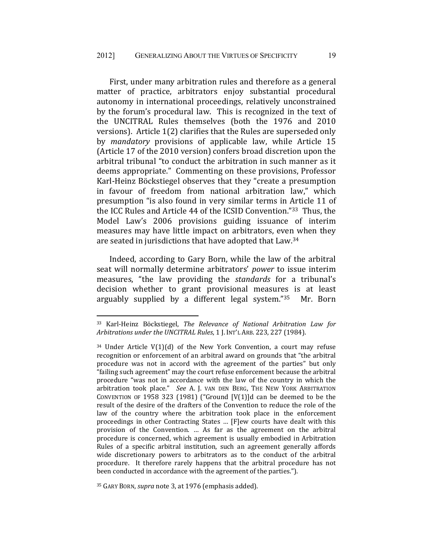First, under many arbitration rules and therefore as a general matter of practice, arbitrators enjoy substantial procedural autonomy in international proceedings, relatively unconstrained by the forum's procedural law. This is recognized in the text of the UNCITRAL Rules themselves (both the 1976 and 2010 versions). Article 1(2) clarifies that the Rules are superseded only by *mandatory* provisions of applicable law, while Article 15 (Article 17 of the 2010 version) confers broad discretion upon the arbitral tribunal "to conduct the arbitration in such manner as it deems appropriate." Commenting on these provisions, Professor Karl-Heinz Böckstiegel observes that they "create a presumption in favour of freedom from national arbitration law," which presumption "is also found in very similar terms in Article 11 of the ICC Rules and Article 44 of the ICSID Convention."33 Thus, the Model Law's 2006 provisions guiding issuance of interim measures may have little impact on arbitrators, even when they are seated in jurisdictions that have adopted that Law.34

Indeed, according to Gary Born, while the law of the arbitral seat will normally determine arbitrators' *power* to issue interim measures, "the law providing the *standards* for a tribunal's decision whether to grant provisional measures is at least arguably supplied by a different legal system."35 Mr. Born

35 GARY BORN, *supra* note 3, at 1976 (emphasis added).

<sup>33</sup> Karl-Heinz Böckstiegel, *The Relevance of National Arbitration Law for Arbitrations under the UNCITRAL Rules*, 1 J. INT'L ARB. 223, 227 (1984).

 $34$  Under Article V(1)(d) of the New York Convention, a court may refuse recognition or enforcement of an arbitral award on grounds that "the arbitral procedure was not in accord with the agreement of the parties" but only "failing such agreement" may the court refuse enforcement because the arbitral procedure "was not in accordance with the law of the country in which the arbitration took place." *See* A. J. VAN DEN BERG, THE NEW YORK ARBITRATION CONVENTION OF 1958 323 (1981) ("Ground [V(1)]d can be deemed to be the result of the desire of the drafters of the Convention to reduce the role of the law of the country where the arbitration took place in the enforcement proceedings in other Contracting States … [F]ew courts have dealt with this provision of the Convention. … As far as the agreement on the arbitral procedure is concerned, which agreement is usually embodied in Arbitration Rules of a specific arbitral institution, such an agreement generally affords wide discretionary powers to arbitrators as to the conduct of the arbitral procedure. It therefore rarely happens that the arbitral procedure has not been conducted in accordance with the agreement of the parties.").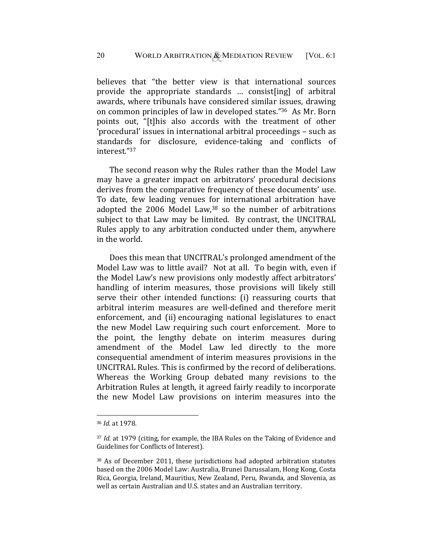believes that "the better view is that international sources provide the appropriate standards … consist[ing] of arbitral awards, where tribunals have considered similar issues, drawing on common principles of law in developed states."36 As Mr. Born points out, "[t]his also accords with the treatment of other 'procedural' issues in international arbitral proceedings – such as standards for disclosure, evidence-taking and conflicts of interest."37

The second reason why the Rules rather than the Model Law may have a greater impact on arbitrators' procedural decisions derives from the comparative frequency of these documents' use. To date, few leading venues for international arbitration have adopted the 2006 Model Law,38 so the number of arbitrations subject to that Law may be limited. By contrast, the UNCITRAL Rules apply to any arbitration conducted under them, anywhere in the world.

Does this mean that UNCITRAL's prolonged amendment of the Model Law was to little avail? Not at all. To begin with, even if the Model Law's new provisions only modestly affect arbitrators' handling of interim measures, those provisions will likely still serve their other intended functions: (i) reassuring courts that arbitral interim measures are well-defined and therefore merit enforcement, and (ii) encouraging national legislatures to enact the new Model Law requiring such court enforcement. More to the point, the lengthy debate on interim measures during amendment of the Model Law led directly to the more consequential amendment of interim measures provisions in the UNCITRAL Rules. This is confirmed by the record of deliberations. Whereas the Working Group debated many revisions to the Arbitration Rules at length, it agreed fairly readily to incorporate the new Model Law provisions on interim measures into the

<u>.</u>

<sup>36</sup> *Id.* at 1978.

<sup>37</sup> *Id.* at 1979 (citing, for example, the IBA Rules on the Taking of Evidence and Guidelines for Conflicts of Interest).

<sup>38</sup> As of December 2011, these jurisdictions had adopted arbitration statutes based on the 2006 Model Law: Australia, Brunei Darussalam, Hong Kong, Costa Rica, Georgia, Ireland, Mauritius, New Zealand, Peru, Rwanda, and Slovenia, as well as certain Australian and U.S. states and an Australian territory.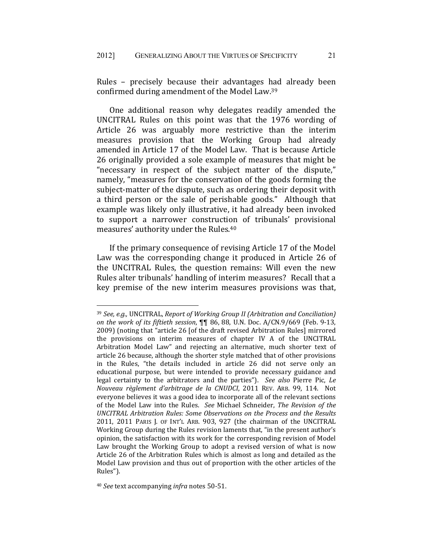Rules – precisely because their advantages had already been confirmed during amendment of the Model Law.39

One additional reason why delegates readily amended the UNCITRAL Rules on this point was that the 1976 wording of Article 26 was arguably more restrictive than the interim measures provision that the Working Group had already amended in Article 17 of the Model Law. That is because Article 26 originally provided a sole example of measures that might be "necessary in respect of the subject matter of the dispute," namely, "measures for the conservation of the goods forming the subject-matter of the dispute, such as ordering their deposit with a third person or the sale of perishable goods." Although that example was likely only illustrative, it had already been invoked to support a narrower construction of tribunals' provisional measures' authority under the Rules.40

If the primary consequence of revising Article 17 of the Model Law was the corresponding change it produced in Article 26 of the UNCITRAL Rules, the question remains: Will even the new Rules alter tribunals' handling of interim measures? Recall that a key premise of the new interim measures provisions was that,

<sup>40</sup> *See* text accompanying *infra* notes 50-51.

<sup>39</sup> *See, e.g.,* UNCITRAL, *Report of Working Group II (Arbitration and Conciliation) on the work of its fiftieth session*, ¶¶ 86, 88, U.N. Doc. A/CN.9/669 (Feb. 9-13, 2009) (noting that "article 26 [of the draft revised Arbitration Rules] mirrored the provisions on interim measures of chapter IV A of the UNCITRAL Arbitration Model Law" and rejecting an alternative, much shorter text of article 26 because, although the shorter style matched that of other provisions in the Rules, "the details included in article 26 did not serve only an educational purpose, but were intended to provide necessary guidance and legal certainty to the arbitrators and the parties"). *See also* Pierre Pic, *Le Nouveau règlement d'arbitrage de la CNUDCI*, 2011 REV. ARB. 99, 114. Not everyone believes it was a good idea to incorporate all of the relevant sections of the Model Law into the Rules. *See* Michael Schneider, *The Revision of the UNCITRAL Arbitration Rules: Some Observations on the Process and the Results* 2011, 2011 PARIS J. OF INT'L ARB. 903, 927 (the chairman of the UNCITRAL Working Group during the Rules revision laments that, "in the present author's opinion, the satisfaction with its work for the corresponding revision of Model Law brought the Working Group to adopt a revised version of what is now Article 26 of the Arbitration Rules which is almost as long and detailed as the Model Law provision and thus out of proportion with the other articles of the Rules").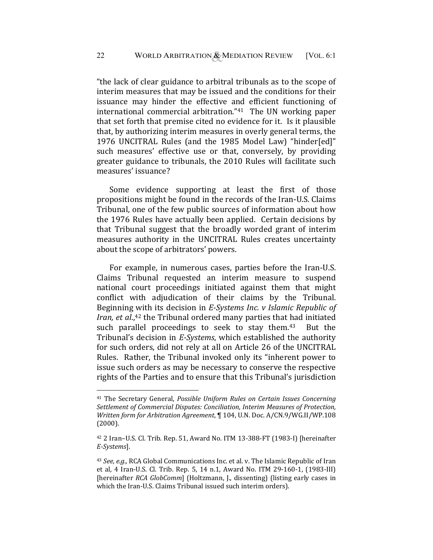"the lack of clear guidance to arbitral tribunals as to the scope of interim measures that may be issued and the conditions for their issuance may hinder the effective and efficient functioning of international commercial arbitration."41 The UN working paper that set forth that premise cited no evidence for it. Is it plausible that, by authorizing interim measures in overly general terms, the 1976 UNCITRAL Rules (and the 1985 Model Law) "hinder[ed]" such measures' effective use or that, conversely, by providing greater guidance to tribunals, the 2010 Rules will facilitate such measures' issuance?

Some evidence supporting at least the first of those propositions might be found in the records of the Iran-U.S. Claims Tribunal, one of the few public sources of information about how the 1976 Rules have actually been applied. Certain decisions by that Tribunal suggest that the broadly worded grant of interim measures authority in the UNCITRAL Rules creates uncertainty about the scope of arbitrators' powers.

For example, in numerous cases, parties before the Iran-U.S. Claims Tribunal requested an interim measure to suspend national court proceedings initiated against them that might conflict with adjudication of their claims by the Tribunal. Beginning with its decision in *E-Systems Inc. v Islamic Republic of Iran, et al.*,<sup>42</sup> the Tribunal ordered many parties that had initiated such parallel proceedings to seek to stay them.<sup>43</sup> But the Tribunal's decision in *E-Systems*, which established the authority for such orders, did not rely at all on Article 26 of the UNCITRAL Rules. Rather, the Tribunal invoked only its "inherent power to issue such orders as may be necessary to conserve the respective rights of the Parties and to ensure that this Tribunal's jurisdiction

<u>.</u>

<sup>41</sup> The Secretary General, *Possible Uniform Rules on Certain Issues Concerning Settlement of Commercial Disputes: Conciliation, Interim Measures of Protection, Written form for Arbitration Agreement*, ¶ 104, U.N. Doc. A/CN.9/WG.II/WP.108 (2000).

<sup>42 2</sup> Iran–U.S. Cl. Trib. Rep. 51, Award No. ITM 13-388-FT (1983-I) [hereinafter *E-Systems*].

<sup>43</sup> *See, e.g.,* RCA Global Communications Inc. et al. v. The Islamic Republic of Iran et al*,* 4 Iran-U.S. Cl. Trib. Rep. 5, 14 n.1, Award No. ITM 29-160-1, (1983-III) [hereinafter *RCA GlobComm*] (Holtzmann, J., dissenting) (listing early cases in which the Iran-U.S. Claims Tribunal issued such interim orders).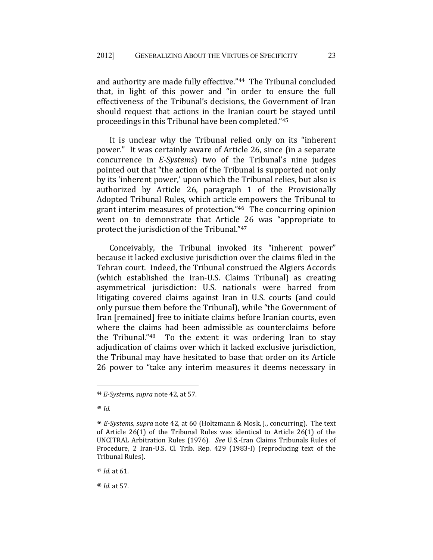and authority are made fully effective."44 The Tribunal concluded that, in light of this power and "in order to ensure the full effectiveness of the Tribunal's decisions, the Government of Iran should request that actions in the Iranian court be stayed until proceedings in this Tribunal have been completed."45

It is unclear why the Tribunal relied only on its "inherent power." It was certainly aware of Article 26, since (in a separate concurrence in *E-Systems*) two of the Tribunal's nine judges pointed out that "the action of the Tribunal is supported not only by its 'inherent power,' upon which the Tribunal relies, but also is authorized by Article 26, paragraph 1 of the Provisionally Adopted Tribunal Rules, which article empowers the Tribunal to grant interim measures of protection."46 The concurring opinion went on to demonstrate that Article 26 was "appropriate to protect the jurisdiction of the Tribunal."47

Conceivably, the Tribunal invoked its "inherent power" because it lacked exclusive jurisdiction over the claims filed in the Tehran court. Indeed, the Tribunal construed the Algiers Accords (which established the Iran-U.S. Claims Tribunal) as creating asymmetrical jurisdiction: U.S. nationals were barred from litigating covered claims against Iran in U.S. courts (and could only pursue them before the Tribunal), while "the Government of Iran [remained] free to initiate claims before Iranian courts, even where the claims had been admissible as counterclaims before the Tribunal."48 To the extent it was ordering Iran to stay adjudication of claims over which it lacked exclusive jurisdiction, the Tribunal may have hesitated to base that order on its Article 26 power to "take any interim measures it deems necessary in

1

<sup>48</sup> *Id.* at 57.

<sup>44</sup> *E-Systems, supra* note 42, at 57.

<sup>45</sup> *Id.* 

<sup>46</sup> *E-Systems, supra* note 42, at 60 (Holtzmann & Mosk, J., concurring). The text of Article 26(1) of the Tribunal Rules was identical to Article 26(1) of the UNCITRAL Arbitration Rules (1976). *See* U.S.-Iran Claims Tribunals Rules of Procedure, 2 Iran-U.S. Cl. Trib. Rep. 429 (1983-I) (reproducing text of the Tribunal Rules).

<sup>47</sup> *Id.* at 61.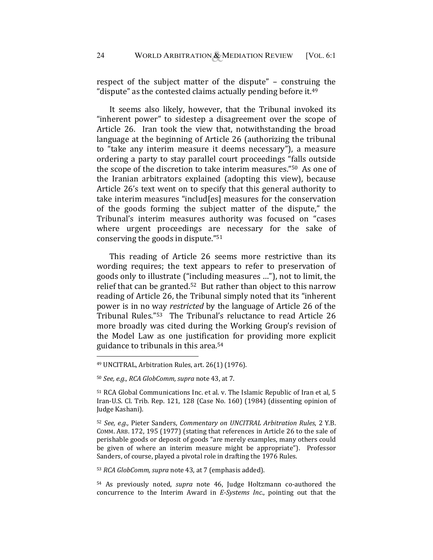respect of the subject matter of the dispute" – construing the "dispute" as the contested claims actually pending before it. $49$ 

It seems also likely, however, that the Tribunal invoked its "inherent power" to sidestep a disagreement over the scope of Article 26. Iran took the view that, notwithstanding the broad language at the beginning of Article 26 (authorizing the tribunal to "take any interim measure it deems necessary"), a measure ordering a party to stay parallel court proceedings "falls outside the scope of the discretion to take interim measures."50 As one of the Iranian arbitrators explained (adopting this view), because Article 26's text went on to specify that this general authority to take interim measures "includ[es] measures for the conservation of the goods forming the subject matter of the dispute," the Tribunal's interim measures authority was focused on "cases where urgent proceedings are necessary for the sake of conserving the goods in dispute."51

This reading of Article 26 seems more restrictive than its wording requires; the text appears to refer to preservation of goods only to illustrate ("including measures …"), not to limit, the relief that can be granted.52 But rather than object to this narrow reading of Article 26, the Tribunal simply noted that its "inherent power is in no way *restricted* by the language of Article 26 of the Tribunal Rules."53 The Tribunal's reluctance to read Article 26 more broadly was cited during the Working Group's revision of the Model Law as one justification for providing more explicit guidance to tribunals in this area.54

1

<sup>53</sup> *RCA GlobComm, supra* note 43, at 7 (emphasis added).

54 As previously noted, *supra* note 46, Judge Holtzmann co-authored the concurrence to the Interim Award in *E-Systems Inc.*, pointing out that the

<sup>49</sup> UNCITRAL, Arbitration Rules, art. 26(1) (1976).

<sup>50</sup> *See, e.g., RCA GlobComm, supra* note 43, at 7.

<sup>51</sup> RCA Global Communications Inc. et al. v. The Islamic Republic of Iran et al*,* 5 Iran-U.S. Cl. Trib. Rep. 121, 128 (Case No. 160) (1984) (dissenting opinion of Judge Kashani).

<sup>52</sup> *See, e.g.,* Pieter Sanders, *Commentary on UNCITRAL Arbitration Rules*, 2 Y.B. COMM. ARB. 172, 195 (1977) (stating that references in Article 26 to the sale of perishable goods or deposit of goods "are merely examples, many others could be given of where an interim measure might be appropriate"). Professor Sanders, of course, played a pivotal role in drafting the 1976 Rules.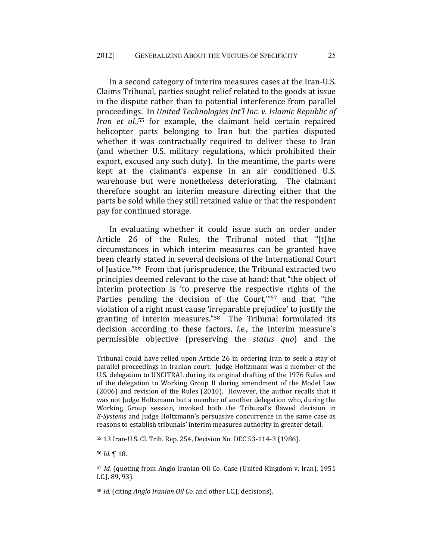In a second category of interim measures cases at the Iran-U.S. Claims Tribunal, parties sought relief related to the goods at issue in the dispute rather than to potential interference from parallel proceedings. In *United Technologies Int'l Inc. v. Islamic Republic of Iran et al.*, 55 for example, the claimant held certain repaired helicopter parts belonging to Iran but the parties disputed whether it was contractually required to deliver these to Iran (and whether U.S. military regulations, which prohibited their export, excused any such duty). In the meantime, the parts were kept at the claimant's expense in an air conditioned U.S. warehouse but were nonetheless deteriorating. The claimant therefore sought an interim measure directing either that the parts be sold while they still retained value or that the respondent pay for continued storage.

In evaluating whether it could issue such an order under Article 26 of the Rules, the Tribunal noted that "[t]he circumstances in which interim measures can be granted have been clearly stated in several decisions of the International Court of Justice."56 From that jurisprudence, the Tribunal extracted two principles deemed relevant to the case at hand: that "the object of interim protection is 'to preserve the respective rights of the Parties pending the decision of the Court,"<sup>57</sup> and that "the violation of a right must cause 'irreparable prejudice' to justify the granting of interim measures."58 The Tribunal formulated its decision according to these factors, *i.e.*, the interim measure's permissible objective (preserving the *status quo*) and the

55 13 Iran-U.S. Cl. Trib. Rep. 254, Decision No. DEC 53-114-3 (1986).

<sup>56</sup> *Id.* ¶ 18.

1

<sup>57</sup> *Id.* (quoting from Anglo Iranian Oil Co. Case (United Kingdom v. Iran), 1951 I.C.J. 89, 93).

<sup>58</sup> *Id.* (citing *Anglo Iranian Oil Co.* and other I.C.J. decisions).

Tribunal could have relied upon Article 26 in ordering Iran to seek a stay of parallel proceedings in Iranian court. Judge Holtzmann was a member of the U.S. delegation to UNCITRAL during its original drafting of the 1976 Rules and of the delegation to Working Group II during amendment of the Model Law (2006) and revision of the Rules (2010). However, the author recalls that it was not Judge Holtzmann but a member of another delegation who, during the Working Group session, invoked both the Tribunal's flawed decision in *E-Systems* and Judge Holtzmann's persuasive concurrence in the same case as reasons to establish tribunals' interim measures authority in greater detail.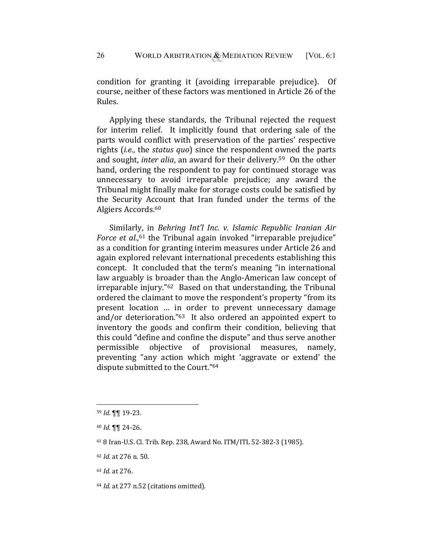condition for granting it (avoiding irreparable prejudice). Of course, neither of these factors was mentioned in Article 26 of the Rules.

Applying these standards, the Tribunal rejected the request for interim relief. It implicitly found that ordering sale of the parts would conflict with preservation of the parties' respective rights (*i.e.*, the *status quo*) since the respondent owned the parts and sought, *inter alia*, an award for their delivery.59 On the other hand, ordering the respondent to pay for continued storage was unnecessary to avoid irreparable prejudice; any award the Tribunal might finally make for storage costs could be satisfied by the Security Account that Iran funded under the terms of the Algiers Accords.60

Similarly, in *Behring Int'l Inc. v. Islamic Republic Iranian Air*  Force et al.,<sup>61</sup> the Tribunal again invoked "irreparable prejudice" as a condition for granting interim measures under Article 26 and again explored relevant international precedents establishing this concept. It concluded that the term's meaning "in international law arguably is broader than the Anglo-American law concept of irreparable injury."62 Based on that understanding, the Tribunal ordered the claimant to move the respondent's property "from its present location … in order to prevent unnecessary damage and/or deterioration."63 It also ordered an appointed expert to inventory the goods and confirm their condition, believing that this could "define and confine the dispute" and thus serve another permissible objective of provisional measures, namely, preventing "any action which might 'aggravate or extend' the dispute submitted to the Court."64

1

<sup>63</sup> *Id.* at 276.

<sup>59</sup> *Id.* ¶¶ 19-23.

<sup>60</sup> *Id.* ¶¶ 24-26.

<sup>61 8</sup> Iran-U.S. Cl. Trib. Rep. 238, Award No. ITM/ITL 52-382-3 (1985).

<sup>62</sup> *Id.* at 276 n. 50.

<sup>64</sup> *Id.* at 277 n.52 (citations omitted).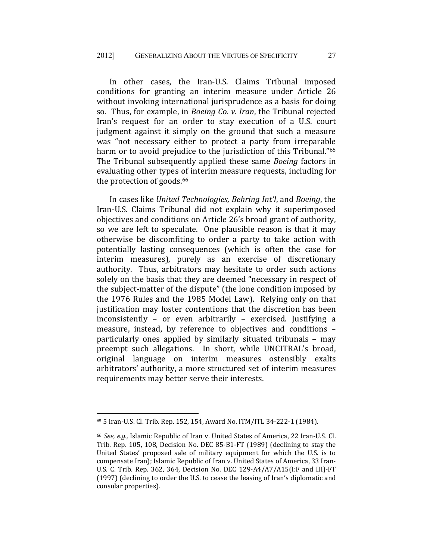In other cases, the Iran-U.S. Claims Tribunal imposed conditions for granting an interim measure under Article 26 without invoking international jurisprudence as a basis for doing so. Thus, for example, in *Boeing Co. v. Iran*, the Tribunal rejected Iran's request for an order to stay execution of a U.S. court judgment against it simply on the ground that such a measure was "not necessary either to protect a party from irreparable harm or to avoid prejudice to the jurisdiction of this Tribunal."<sup>65</sup> The Tribunal subsequently applied these same *Boeing* factors in evaluating other types of interim measure requests, including for the protection of goods.<sup>66</sup>

In cases like *United Technologies, Behring Int'l*, and *Boeing*, the Iran-U.S. Claims Tribunal did not explain why it superimposed objectives and conditions on Article 26's broad grant of authority, so we are left to speculate. One plausible reason is that it may otherwise be discomfiting to order a party to take action with potentially lasting consequences (which is often the case for interim measures), purely as an exercise of discretionary authority. Thus, arbitrators may hesitate to order such actions solely on the basis that they are deemed "necessary in respect of the subject-matter of the dispute" (the lone condition imposed by the 1976 Rules and the 1985 Model Law). Relying only on that justification may foster contentions that the discretion has been inconsistently – or even arbitrarily – exercised. Justifying a measure, instead, by reference to objectives and conditions – particularly ones applied by similarly situated tribunals – may preempt such allegations. In short, while UNCITRAL's broad, original language on interim measures ostensibly exalts arbitrators' authority, a more structured set of interim measures requirements may better serve their interests.

<sup>65 5</sup> Iran-U.S. Cl. Trib. Rep. 152, 154, Award No. ITM/ITL 34-222-1 (1984).

<sup>66</sup> *See, e.g.,* Islamic Republic of Iran v. United States of America, 22 Iran-U.S. Cl. Trib. Rep. 105, 108, Decision No. DEC 85-B1-FT (1989) (declining to stay the United States' proposed sale of military equipment for which the U.S. is to compensate Iran); Islamic Republic of Iran v. United States of America, 33 Iran-U.S. C. Trib. Rep. 362, 364, Decision No. DEC 129-A4/A7/A15(I:F and III)-FT (1997) (declining to order the U.S. to cease the leasing of Iran's diplomatic and consular properties).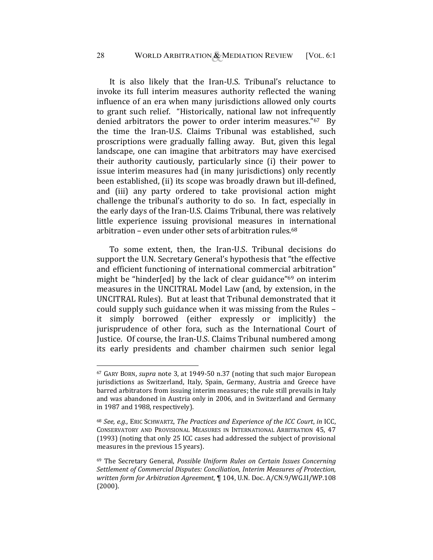It is also likely that the Iran-U.S. Tribunal's reluctance to invoke its full interim measures authority reflected the waning influence of an era when many jurisdictions allowed only courts to grant such relief. "Historically, national law not infrequently denied arbitrators the power to order interim measures."67 By the time the Iran-U.S. Claims Tribunal was established, such proscriptions were gradually falling away. But, given this legal landscape, one can imagine that arbitrators may have exercised their authority cautiously, particularly since (i) their power to issue interim measures had (in many jurisdictions) only recently been established, (ii) its scope was broadly drawn but ill-defined, and (iii) any party ordered to take provisional action might challenge the tribunal's authority to do so. In fact, especially in the early days of the Iran-U.S. Claims Tribunal, there was relatively little experience issuing provisional measures in international arbitration – even under other sets of arbitration rules. $68$ 

To some extent, then, the Iran-U.S. Tribunal decisions do support the U.N. Secretary General's hypothesis that "the effective and efficient functioning of international commercial arbitration" might be "hinder[ed] by the lack of clear guidance"69 on interim measures in the UNCITRAL Model Law (and, by extension, in the UNCITRAL Rules). But at least that Tribunal demonstrated that it could supply such guidance when it was missing from the Rules – it simply borrowed (either expressly or implicitly) the jurisprudence of other fora, such as the International Court of Justice. Of course, the Iran-U.S. Claims Tribunal numbered among its early presidents and chamber chairmen such senior legal

<sup>67</sup> GARY BORN, *supra* note 3, at 1949-50 n.37 (noting that such major European jurisdictions as Switzerland, Italy, Spain, Germany, Austria and Greece have barred arbitrators from issuing interim measures; the rule still prevails in Italy and was abandoned in Austria only in 2006, and in Switzerland and Germany in 1987 and 1988, respectively).

<sup>68</sup> *See, e.g.,* ERIC SCHWARTZ, *The Practices and Experience of the ICC Court*, *in* ICC, CONSERVATORY AND PROVISIONAL MEASURES IN INTERNATIONAL ARBITRATION 45, 47 (1993) (noting that only 25 ICC cases had addressed the subject of provisional measures in the previous 15 years).

<sup>69</sup> The Secretary General, *Possible Uniform Rules on Certain Issues Concerning Settlement of Commercial Disputes: Conciliation, Interim Measures of Protection, written form for Arbitration Agreement*, ¶ 104, U.N. Doc. A/CN.9/WG.II/WP.108 (2000).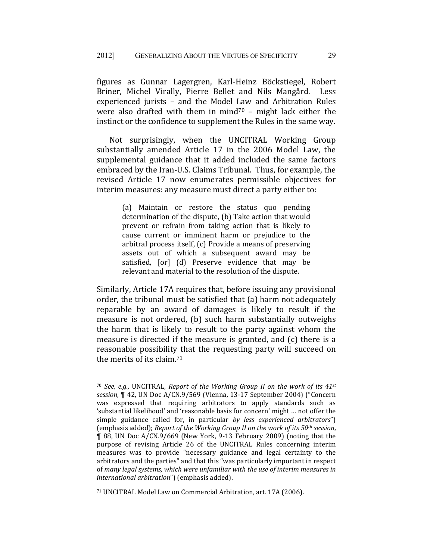figures as Gunnar Lagergren, Karl-Heinz Böckstiegel, Robert Briner, Michel Virally, Pierre Bellet and Nils Mangård. Less experienced jurists – and the Model Law and Arbitration Rules were also drafted with them in mind<sup>70</sup> – might lack either the instinct or the confidence to supplement the Rules in the same way.

Not surprisingly, when the UNCITRAL Working Group substantially amended Article 17 in the 2006 Model Law, the supplemental guidance that it added included the same factors embraced by the Iran-U.S. Claims Tribunal. Thus, for example, the revised Article 17 now enumerates permissible objectives for interim measures: any measure must direct a party either to:

> (a) Maintain or restore the status quo pending determination of the dispute, (b) Take action that would prevent or refrain from taking action that is likely to cause current or imminent harm or prejudice to the arbitral process itself, (c) Provide a means of preserving assets out of which a subsequent award may be satisfied, [or] (d) Preserve evidence that may be relevant and material to the resolution of the dispute.

Similarly, Article 17A requires that, before issuing any provisional order, the tribunal must be satisfied that (a) harm not adequately reparable by an award of damages is likely to result if the measure is not ordered, (b) such harm substantially outweighs the harm that is likely to result to the party against whom the measure is directed if the measure is granted, and (c) there is a reasonable possibility that the requesting party will succeed on the merits of its claim.71

<sup>70</sup> *See, e.g.,* UNCITRAL, *Report of the Working Group II on the work of its 41st session*, ¶ 42, UN Doc A/CN.9/569 (Vienna, 13-17 September 2004) ("Concern was expressed that requiring arbitrators to apply standards such as 'substantial likelihood' and 'reasonable basis for concern' might … not offer the simple guidance called for, in particular *by less experienced arbitrators*") (emphasis added); *Report of the Working Group II on the work of its 50th session*, ¶ 88, UN Doc A/CN.9/669 (New York, 9-13 February 2009) (noting that the purpose of revising Article 26 of the UNCITRAL Rules concerning interim measures was to provide "necessary guidance and legal certainty to the arbitrators and the parties" and that this "was particularly important in respect of *many legal systems, which were unfamiliar with the use of interim measures in international arbitration*") (emphasis added).

<sup>71</sup> UNCITRAL Model Law on Commercial Arbitration, art. 17A (2006).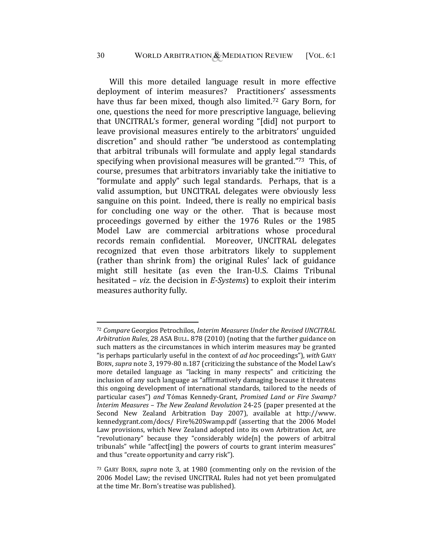Will this more detailed language result in more effective deployment of interim measures? Practitioners' assessments have thus far been mixed, though also limited.72 Gary Born, for one, questions the need for more prescriptive language, believing that UNCITRAL's former, general wording "[did] not purport to leave provisional measures entirely to the arbitrators' unguided discretion" and should rather "be understood as contemplating that arbitral tribunals will formulate and apply legal standards specifying when provisional measures will be granted."73 This, of course, presumes that arbitrators invariably take the initiative to "formulate and apply" such legal standards. Perhaps, that is a valid assumption, but UNCITRAL delegates were obviously less sanguine on this point. Indeed, there is really no empirical basis for concluding one way or the other. That is because most proceedings governed by either the 1976 Rules or the 1985 Model Law are commercial arbitrations whose procedural records remain confidential. Moreover, UNCITRAL delegates recognized that even those arbitrators likely to supplement (rather than shrink from) the original Rules' lack of guidance might still hesitate (as even the Iran-U.S. Claims Tribunal hesitated – *viz.* the decision in *E-Systems*) to exploit their interim measures authority fully.

<sup>72</sup> *Compare* Georgios Petrochilos, *Interim Measures Under the Revised UNCITRAL Arbitration Rules*, 28 ASA BULL. 878 (2010) (noting that the further guidance on such matters as the circumstances in which interim measures may be granted "is perhaps particularly useful in the context of *ad hoc* proceedings"), *with* GARY BORN, *supra* note 3, 1979-80 n.187 (criticizing the substance of the Model Law's more detailed language as "lacking in many respects" and criticizing the inclusion of any such language as "affirmatively damaging because it threatens this ongoing development of international standards, tailored to the needs of particular cases") *and* Tómas Kennedy-Grant, *Promised Land or Fire Swamp? Interim Measures – The New Zealand Revolution* 24-25 (paper presented at the Second New Zealand Arbitration Day 2007), available at http://www. kennedygrant.com/docs/ Fire%20Swamp.pdf (asserting that the 2006 Model Law provisions, which New Zealand adopted into its own Arbitration Act, are "revolutionary" because they "considerably wide[n] the powers of arbitral tribunals" while "affect[ing] the powers of courts to grant interim measures" and thus "create opportunity and carry risk").

<sup>73</sup> GARY BORN, *supra* note 3, at 1980 (commenting only on the revision of the 2006 Model Law; the revised UNCITRAL Rules had not yet been promulgated at the time Mr. Born's treatise was published).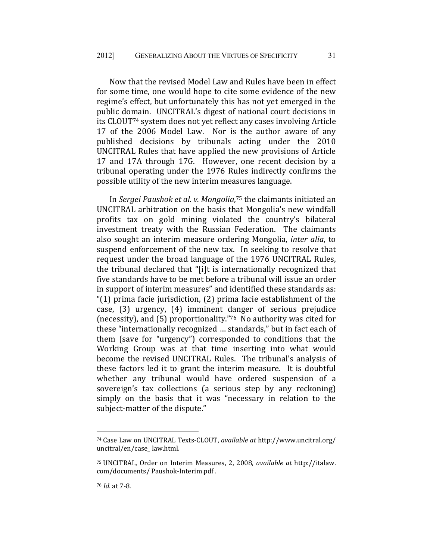Now that the revised Model Law and Rules have been in effect for some time, one would hope to cite some evidence of the new regime's effect, but unfortunately this has not yet emerged in the public domain. UNCITRAL's digest of national court decisions in its CLOUT74 system does not yet reflect any cases involving Article 17 of the 2006 Model Law. Nor is the author aware of any published decisions by tribunals acting under the 2010 UNCITRAL Rules that have applied the new provisions of Article 17 and 17A through 17G. However, one recent decision by a tribunal operating under the 1976 Rules indirectly confirms the possible utility of the new interim measures language.

In *Sergei Paushok et al. v. Mongolia*, 75 the claimants initiated an UNCITRAL arbitration on the basis that Mongolia's new windfall profits tax on gold mining violated the country's bilateral investment treaty with the Russian Federation. The claimants also sought an interim measure ordering Mongolia, *inter alia*, to suspend enforcement of the new tax. In seeking to resolve that request under the broad language of the 1976 UNCITRAL Rules, the tribunal declared that "[i]t is internationally recognized that five standards have to be met before a tribunal will issue an order in support of interim measures" and identified these standards as: "(1) prima facie jurisdiction, (2) prima facie establishment of the case, (3) urgency, (4) imminent danger of serious prejudice (necessity), and (5) proportionality."76 No authority was cited for these "internationally recognized … standards," but in fact each of them (save for "urgency") corresponded to conditions that the Working Group was at that time inserting into what would become the revised UNCITRAL Rules. The tribunal's analysis of these factors led it to grant the interim measure. It is doubtful whether any tribunal would have ordered suspension of a sovereign's tax collections (a serious step by any reckoning) simply on the basis that it was "necessary in relation to the subject-matter of the dispute."

<sup>74</sup> Case Law on UNCITRAL Texts-CLOUT, *available at* http://www.uncitral.org/ uncitral/en/case\_ law.html.

<sup>75</sup> UNCITRAL, Order on Interim Measures, 2, 2008, *available at* http://italaw. com/documents/ Paushok-Interim.pdf .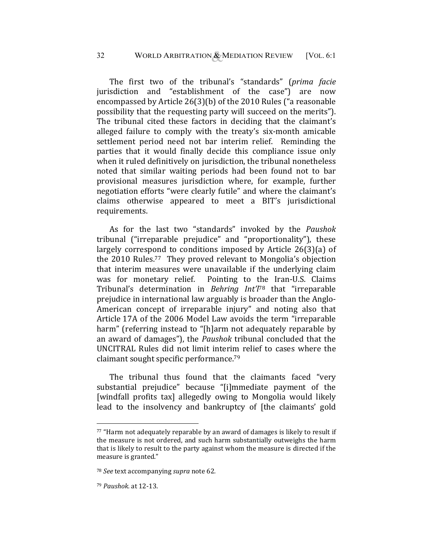The first two of the tribunal's "standards" (*prima facie*  jurisdiction and "establishment of the case") are now encompassed by Article 26(3)(b) of the 2010 Rules ("a reasonable possibility that the requesting party will succeed on the merits"). The tribunal cited these factors in deciding that the claimant's alleged failure to comply with the treaty's six-month amicable settlement period need not bar interim relief. Reminding the parties that it would finally decide this compliance issue only when it ruled definitively on jurisdiction, the tribunal nonetheless noted that similar waiting periods had been found not to bar provisional measures jurisdiction where, for example, further negotiation efforts "were clearly futile" and where the claimant's claims otherwise appeared to meet a BIT's jurisdictional requirements.

As for the last two "standards" invoked by the *Paushok* tribunal ("irreparable prejudice" and "proportionality"), these largely correspond to conditions imposed by Article 26(3)(a) of the 2010 Rules.77 They proved relevant to Mongolia's objection that interim measures were unavailable if the underlying claim was for monetary relief. Pointing to the Iran-U.S. Claims Tribunal's determination in *Behring Int'l*78 that "irreparable prejudice in international law arguably is broader than the Anglo-American concept of irreparable injury" and noting also that Article 17A of the 2006 Model Law avoids the term "irreparable harm" (referring instead to "[h]arm not adequately reparable by an award of damages"), the *Paushok* tribunal concluded that the UNCITRAL Rules did not limit interim relief to cases where the claimant sought specific performance.79

The tribunal thus found that the claimants faced "very substantial prejudice" because "[i]mmediate payment of the [windfall profits tax] allegedly owing to Mongolia would likely lead to the insolvency and bankruptcy of [the claimants' gold

 $77$  "Harm not adequately reparable by an award of damages is likely to result if the measure is not ordered, and such harm substantially outweighs the harm that is likely to result to the party against whom the measure is directed if the measure is granted."

<sup>78</sup> *See* text accompanying *supra* note 62*.* 

<sup>79</sup> *Paushok.* at 12-13.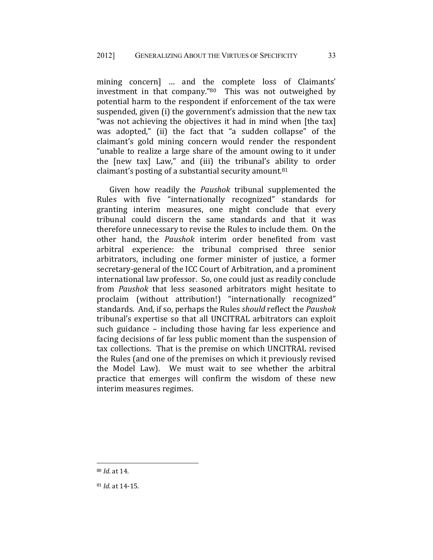mining concern] … and the complete loss of Claimants' investment in that company."80 This was not outweighed by potential harm to the respondent if enforcement of the tax were suspended, given (i) the government's admission that the new tax "was not achieving the objectives it had in mind when [the tax] was adopted," (ii) the fact that "a sudden collapse" of the claimant's gold mining concern would render the respondent "unable to realize a large share of the amount owing to it under the [new tax] Law," and (iii) the tribunal's ability to order claimant's posting of a substantial security amount.81

Given how readily the *Paushok* tribunal supplemented the Rules with five "internationally recognized" standards for granting interim measures, one might conclude that every tribunal could discern the same standards and that it was therefore unnecessary to revise the Rules to include them. On the other hand, the *Paushok* interim order benefited from vast arbitral experience: the tribunal comprised three senior arbitrators, including one former minister of justice, a former secretary-general of the ICC Court of Arbitration, and a prominent international law professor. So, one could just as readily conclude from *Paushok* that less seasoned arbitrators might hesitate to proclaim (without attribution!) "internationally recognized" standards. And, if so, perhaps the Rules *should* reflect the *Paushok*  tribunal's expertise so that all UNCITRAL arbitrators can exploit such guidance – including those having far less experience and facing decisions of far less public moment than the suspension of tax collections. That is the premise on which UNCITRAL revised the Rules (and one of the premises on which it previously revised the Model Law). We must wait to see whether the arbitral practice that emerges will confirm the wisdom of these new interim measures regimes.

<sup>80</sup> *Id.* at 14.

<sup>81</sup> *Id*. at 14-15.